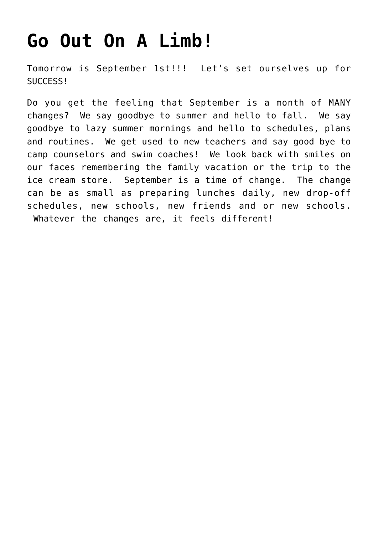## **[Go Out On A Limb!](https://alethiatruefit.com/uncategorized/go-out-on-a-limb/)**

Tomorrow is September 1st!!! Let's set ourselves up for SUCCESS!

Do you get the feeling that September is a month of MANY changes? We say goodbye to summer and hello to fall. We say goodbye to lazy summer mornings and hello to schedules, plans and routines. We get used to new teachers and say good bye to camp counselors and swim coaches! We look back with smiles on our faces remembering the family vacation or the trip to the ice cream store. September is a time of change. The change can be as small as preparing lunches daily, new drop-off schedules, new schools, new friends and or new schools. Whatever the changes are, it feels different!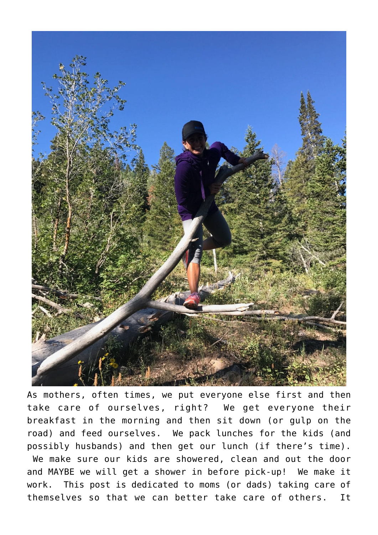

As mothers, often times, we put everyone else first and then take care of ourselves, right? We get everyone their breakfast in the morning and then sit down (or gulp on the road) and feed ourselves. We pack lunches for the kids (and possibly husbands) and then get our lunch (if there's time). We make sure our kids are showered, clean and out the door and MAYBE we will get a shower in before pick-up! We make it work. This post is dedicated to moms (or dads) taking care of themselves so that we can better take care of others. It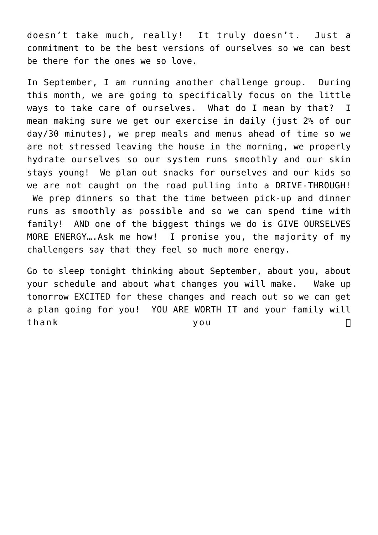doesn't take much, really! It truly doesn't. Just a commitment to be the best versions of ourselves so we can best be there for the ones we so love.

In September, I am running another challenge group. During this month, we are going to specifically focus on the little ways to take care of ourselves. What do I mean by that? I mean making sure we get our exercise in daily (just 2% of our day/30 minutes), we prep meals and menus ahead of time so we are not stressed leaving the house in the morning, we properly hydrate ourselves so our system runs smoothly and our skin stays young! We plan out snacks for ourselves and our kids so we are not caught on the road pulling into a DRIVE-THROUGH! We prep dinners so that the time between pick-up and dinner runs as smoothly as possible and so we can spend time with family! AND one of the biggest things we do is GIVE OURSELVES MORE ENERGY….Ask me how! I promise you, the majority of my challengers say that they feel so much more energy.

Go to sleep tonight thinking about September, about you, about your schedule and about what changes you will make. Wake up tomorrow EXCITED for these changes and reach out so we can get a plan going for you! YOU ARE WORTH IT and your family will thank you